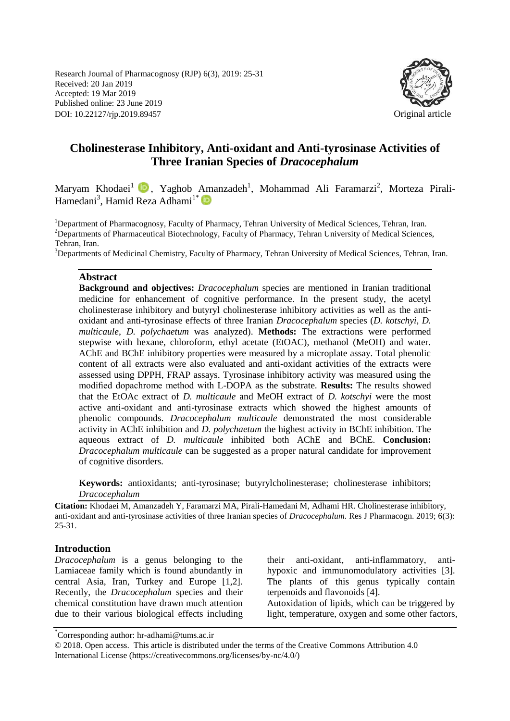Research Journal of Pharmacognosy (RJP) 6(3), 2019: 25-31 Received: 20 Jan 2019 Accepted: 19 Mar 2019 Published online: 23 June 2019 DOI: 10.22127/rjp.2019.89457 Original article



# **Cholinesterase Inhibitory, Anti-oxidant and Anti-tyrosinase Activities of Three Iranian Species of** *Dracocephalum*

Maryam Khodaei<sup>1</sup> D, Yaghob Amanzadeh<sup>1</sup>, Mohammad Ali Faramarzi<sup>2</sup>, Morteza Pirali-Hamedani<sup>3</sup>, Hamid Reza Adhami<sup>1\*</sup>

<sup>1</sup>Department of Pharmacognosy, Faculty of Pharmacy, Tehran University of Medical Sciences, Tehran, Iran. <sup>2</sup>Departments of Pharmaceutical Biotechnology, Faculty of Pharmacy, Tehran University of Medical Sciences, Tehran, Iran.

<sup>3</sup>Departments of Medicinal Chemistry, Faculty of Pharmacy, Tehran University of Medical Sciences, Tehran, Iran.

#### **Abstract**

**Background and objectives:** *Dracocephalum* species are mentioned in Iranian traditional medicine for enhancement of cognitive performance. In the present study, the acetyl cholinesterase inhibitory and butyryl cholinesterase inhibitory activities as well as the antioxidant and anti-tyrosinase effects of three Iranian *Dracocephalum* species (*D. kotschyi*, *D. multicaule*, *D. polychaetum* was analyzed). **Methods:** The extractions were performed stepwise with hexane, chloroform, ethyl acetate (EtOAC), methanol (MeOH) and water. AChE and BChE inhibitory properties were measured by a microplate assay. Total phenolic content of all extracts were also evaluated and anti-oxidant activities of the extracts were assessed using DPPH, FRAP assays. Tyrosinase inhibitory activity was measured using the modified dopachrome method with L-DOPA as the substrate. **Results:** The results showed that the EtOAc extract of *D. multicaule* and MeOH extract of *D. kotschyi* were the most active anti-oxidant and anti-tyrosinase extracts which showed the highest amounts of phenolic compounds. *Dracocephalum multicaule* demonstrated the most considerable activity in AChE inhibition and *D. polychaetum* the highest activity in BChE inhibition. The aqueous extract of *D. multicaule* inhibited both AChE and BChE. **Conclusion:** *Dracocephalum multicaule* can be suggested as a proper natural candidate for improvement of cognitive disorders.

**Keywords:** antioxidants; anti-tyrosinase; butyrylcholinesterase; cholinesterase inhibitors; *Dracocephalum*

**Citation:** Khodaei M, Amanzadeh Y, Faramarzi MA, Pirali-Hamedani M, Adhami HR. Cholinesterase inhibitory, anti-oxidant and anti-tyrosinase activities of three Iranian species of *Dracocephalum.* Res J Pharmacogn. 2019; 6(3): 25-31.

#### **Introduction**

*Dracocephalum* is a genus belonging to the Lamiaceae family which is found abundantly in central Asia, Iran, Turkey and Europe [1,2]. Recently, the *Dracocephalum* species and their chemical constitution have drawn much attention due to their various biological effects including their anti-oxidant, anti-inflammatory, antihypoxic and immunomodulatory activities [3]. The plants of this genus typically contain terpenoids and flavonoids [4]. Autoxidation of lipids, which can be triggered by light, temperature, oxygen and some other factors,

<sup>\*</sup> Corresponding author: hr-adhami@tums.ac.ir

<sup>© 2018.</sup> Open access. This article is distributed under the terms of the Creative Commons Attribution 4.0 International License (https://creativecommons.org/licenses/by-nc/4.0/)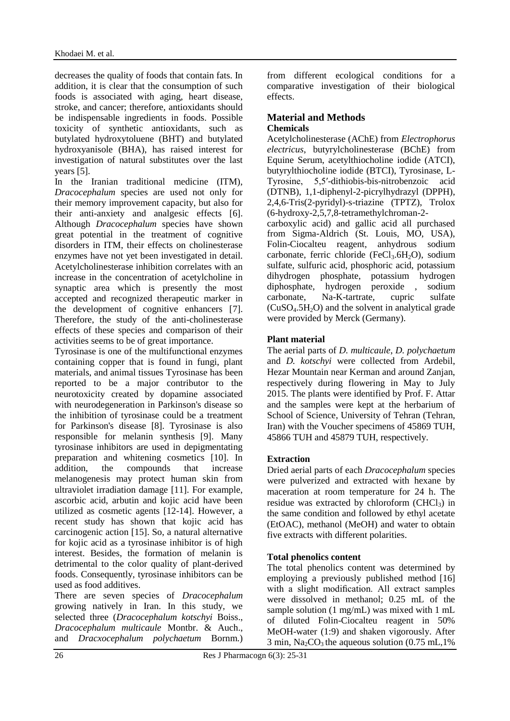decreases the quality of foods that contain fats. In addition, it is clear that the consumption of such foods is associated with aging, heart disease, stroke, and cancer; therefore, antioxidants should be indispensable ingredients in foods. Possible toxicity of synthetic antioxidants, such as butylated hydroxytoluene (BHT) and butylated hydroxyanisole (BHA), has raised interest for investigation of natural substitutes over the last years [5].

In the Iranian traditional medicine (ITM), *Dracocephalum* species are used not only for their memory improvement capacity, but also for their anti-anxiety and analgesic effects [6]. Although *Dracocephalum* species have shown great potential in the treatment of cognitive disorders in ITM, their effects on cholinesterase enzymes have not yet been investigated in detail. Acetylcholinesterase inhibition correlates with an increase in the concentration of acetylcholine in synaptic area which is presently the most accepted and recognized therapeutic marker in the development of cognitive enhancers [7]. Therefore, the study of the anti-cholinesterase effects of these species and comparison of their activities seems to be of great importance.

Tyrosinase is one of the multifunctional enzymes containing copper that is found in fungi, plant materials, and animal tissues Tyrosinase has been reported to be a major contributor to the neurotoxicity created by dopamine associated with neurodegeneration in Parkinson's disease so the inhibition of tyrosinase could be a treatment for Parkinson's disease [8]. Tyrosinase is also responsible for melanin synthesis [9]. Many tyrosinase inhibitors are used in depigmentating preparation and whitening cosmetics [10]. In addition, the compounds that increase melanogenesis may protect human skin from ultraviolet irradiation damage [11]. For example, ascorbic acid, arbutin and kojic acid have been utilized as cosmetic agents [12-14]. However, a recent study has shown that kojic acid has carcinogenic action [15]. So, a natural alternative for kojic acid as a tyrosinase inhibitor is of high interest. Besides, the formation of melanin is detrimental to the color quality of plant-derived foods. Consequently, tyrosinase inhibitors can be used as food additives.

There are seven species of *Dracocephalum* growing natively in Iran. In this study, we selected three (*Dracocephalum kotschyi* Boiss., *Dracocephalum multicaule* Montbr. & Auch., and *Dracxocephalum polychaetum* Bornm.) from different ecological conditions for a comparative investigation of their biological effects.

#### **Material and Methods Chemicals**

Acetylcholinesterase (AChE) from *Electrophorus electricus*, butyrylcholinesterase (BChE) from Equine Serum, acetylthiocholine iodide (ATCI), butyrylthiocholine iodide (BTCI), Tyrosinase, L-Tyrosine, 5,5′-dithiobis-bis-nitrobenzoic acid (DTNB), 1,1-diphenyl-2-picrylhydrazyl (DPPH), 2,4,6-Tris(2-pyridyl)-s-triazine (TPTZ), Trolox (6-hydroxy-2,5,7,8-tetramethylchroman-2 carboxylic acid) and gallic acid all purchased from Sigma-Aldrich (St. Louis, MO, USA), Folin-Ciocalteu reagent, anhydrous sodium carbonate, ferric chloride (FeCl<sub>3</sub>.6H<sub>2</sub>O), sodium sulfate, sulfuric acid, phosphoric acid, potassium dihydrogen phosphate, potassium hydrogen diphosphate, hydrogen peroxide , sodium

carbonate, Na-K-tartrate, cupric sulfate  $(CuSO<sub>4</sub>.5H<sub>2</sub>O)$  and the solvent in analytical grade were provided by Merck (Germany).

# **Plant material**

The aerial parts of *D. multicaule*, *D. polychaetum* and *D. kotschyi* were collected from Ardebil, Hezar Mountain near Kerman and around Zanjan, respectively during flowering in May to July 2015. The plants were identified by Prof. F. Attar and the samples were kept at the herbarium of School of Science, University of Tehran (Tehran, Iran) with the Voucher specimens of 45869 TUH, 45866 TUH and 45879 TUH, respectively.

# **Extraction**

Dried aerial parts of each *Dracocephalum* species were pulverized and extracted with hexane by maceration at room temperature for 24 h. The residue was extracted by chloroform  $(CHCl<sub>3</sub>)$  in the same condition and followed by ethyl acetate (EtOAC), methanol (MeOH) and water to obtain five extracts with different polarities.

# **Total phenolics content**

The total phenolics content was determined by employing a previously published method [16] with a slight modification. All extract samples were dissolved in methanol; 0.25 mL of the sample solution (1 mg/mL) was mixed with 1 mL of diluted Folin-Ciocalteu reagent in 50% MeOH-water (1:9) and shaken vigorously. After  $3 \text{ min}$ , Na<sub>2</sub>CO<sub>3</sub> the aqueous solution (0.75 mL, 1%)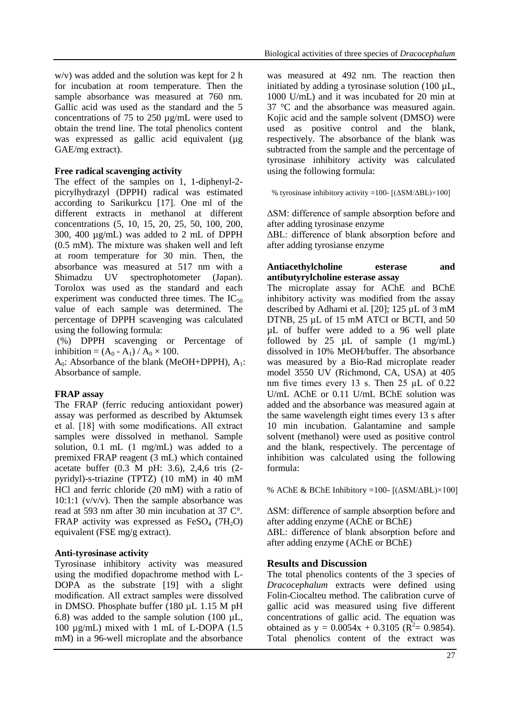w/v) was added and the solution was kept for 2 h for incubation at room temperature. Then the sample absorbance was measured at 760 nm. Gallic acid was used as the standard and the 5 concentrations of 75 to 250 µg/mL were used to obtain the trend line. The total phenolics content was expressed as gallic acid equivalent ( $\mu$ g GAE/mg extract).

#### **Free radical scavenging activity**

The effect of the samples on 1, 1-diphenyl-2 picrylhydrazyl (DPPH) radical was estimated according to Sarikurkcu [17]. One ml of the different extracts in methanol at different concentrations (5, 10, 15, 20, 25, 50, 100, 200, 300, 400 µg/mL) was added to 2 mL of DPPH (0.5 mM). The mixture was shaken well and left at room temperature for 30 min. Then, the absorbance was measured at 517 nm with a Shimadzu UV spectrophotometer (Japan). Torolox was used as the standard and each experiment was conducted three times. The  $IC_{50}$ value of each sample was determined. The percentage of DPPH scavenging was calculated using the following formula:

(%) DPPH scavenging or Percentage of inhibition =  $(A_0 - A_1) / A_0 \times 100$ .

 $A_0$ : Absorbance of the blank (MeOH+DPPH),  $A_1$ : Absorbance of sample.

#### **FRAP assay**

The FRAP (ferric reducing antioxidant power) assay was performed as described by Aktumsek et al. [18] with some modifications. All extract samples were dissolved in methanol. Sample solution, 0.1 mL (1 mg/mL) was added to a premixed FRAP reagent (3 mL) which contained acetate buffer (0.3 M pH: 3.6), 2,4,6 tris (2 pyridyl)-s-triazine (TPTZ) (10 mM) in 40 mM HCl and ferric chloride (20 mM) with a ratio of 10:1:1  $(v/v/v)$ . Then the sample absorbance was read at 593 nm after 30 min incubation at 37 C°. FRAP activity was expressed as  $FeSO<sub>4</sub>$  (7H<sub>2</sub>O) equivalent (FSE mg/g extract).

#### **Anti-tyrosinase activity**

Tyrosinase inhibitory activity was measured using the modified dopachrome method with L-DOPA as the substrate [19] with a slight modification. All extract samples were dissolved in DMSO. Phosphate buffer (180 µL 1.15 M pH 6.8) was added to the sample solution  $(100 \mu L,$ 100 µg/mL) mixed with 1 mL of L-DOPA (1.5 mM) in a 96-well microplate and the absorbance was measured at 492 nm. The reaction then initiated by adding a tyrosinase solution (100 µL, 1000 U/mL) and it was incubated for 20 min at 37 °C and the absorbance was measured again. Kojic acid and the sample solvent (DMSO) were used as positive control and the blank, respectively. The absorbance of the blank was subtracted from the sample and the percentage of tyrosinase inhibitory activity was calculated using the following formula:

% tyrosinase inhibitory activity =100-  $[(\Delta SM/\Delta BL) \times 100]$ 

ΔSM: difference of sample absorption before and after adding tyrosinase enzyme

ΔBL: difference of blank absorption before and after adding tyrosianse enzyme

#### **Antiacethylcholine esterase and antibutyrylcholine esterase assay**

The microplate assay for AChE and BChE inhibitory activity was modified from the assay described by Adhami et al*.* [20]; 125 µL of 3 mM DTNB, 25 µL of 15 mM ATCI or BCTI, and 50 µL of buffer were added to a 96 well plate followed by 25  $\mu$ L of sample  $(1 \text{ mg/mL})$ dissolved in 10% MeOH/buffer. The absorbance was measured by a Bio-Rad microplate reader model 3550 UV (Richmond, CA, USA) at 405 nm five times every 13 s. Then 25 µL of 0.22 U/mL AChE or 0.11 U/mL BChE solution was added and the absorbance was measured again at the same wavelength eight times every 13 s after 10 min incubation. Galantamine and sample solvent (methanol) were used as positive control and the blank, respectively. The percentage of inhibition was calculated using the following formula:

% AChE & BChE Inhibitory =100-  $[(\Delta SM/\Delta BL) \times 100]$ 

ΔSM: difference of sample absorption before and after adding enzyme (AChE or BChE)

ΔBL: difference of blank absorption before and after adding enzyme (AChE or BChE)

### **Results and Discussion**

The total phenolics contents of the 3 species of *Dracocephalum* extracts were defined using Folin-Ciocalteu method. The calibration curve of gallic acid was measured using five different concentrations of gallic acid. The equation was obtained as  $y = 0.0054x + 0.3105$  ( $\overline{R^2} = 0.9854$ ). Total phenolics content of the extract was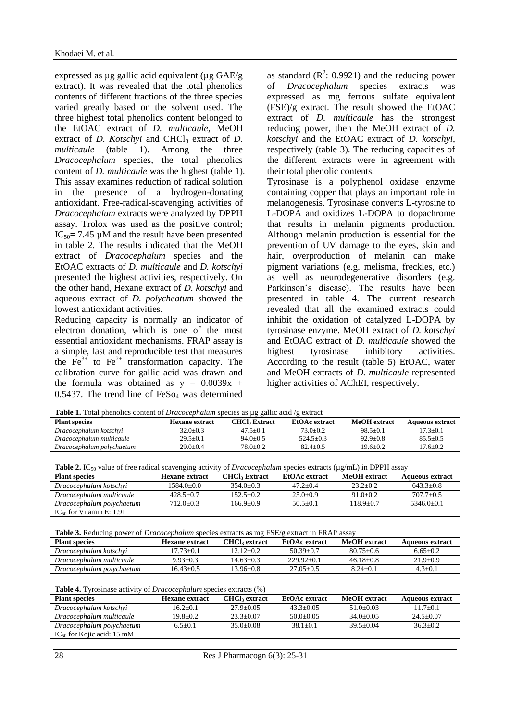expressed as  $\mu$ g gallic acid equivalent ( $\mu$ g GAE/g extract). It was revealed that the total phenolics contents of different fractions of the three species varied greatly based on the solvent used. The three highest total phenolics content belonged to the EtOAC extract of *D. multicaule*, MeOH extract of *D. Kotschyi* and CHCl<sub>3</sub> extract of *D. multicaule* (table 1). Among the three *Dracocephalum* species, the total phenolics content of *D. multicaule* was the highest (table 1). This assay examines reduction of radical solution in the presence of a hydrogen-donating antioxidant. Free-radical-scavenging activities of *Dracocephalum* extracts were analyzed by DPPH assay. Trolox was used as the positive control;  $IC_{50} = 7.45 \mu M$  and the result have been presented in table 2. The results indicated that the MeOH extract of *Dracocephalum* species and the EtOAC extracts of *D. multicaule* and *D. kotschyi* presented the highest activities, respectively. On the other hand, Hexane extract of *D. kotschyi* and aqueous extract of *D. polycheatum* showed the lowest antioxidant activities.

Reducing capacity is normally an indicator of electron donation, which is one of the most essential antioxidant mechanisms. FRAP assay is a simple, fast and reproducible test that measures the  $\overline{Fe}^{3+}$  to  $\overline{Fe}^{2+}$  transformation capacity. The calibration curve for gallic acid was drawn and the formula was obtained as  $y = 0.0039x +$  $0.5437$ . The trend line of  $FeSo<sub>4</sub>$  was determined

as standard  $(R^2: 0.9921)$  and the reducing power of *Dracocephalum* species extracts was expressed as mg ferrous sulfate equivalent (FSE)/g extract. The result showed the EtOAC extract of *D. multicaule* has the strongest reducing power, then the MeOH extract of *D. kotschyi* and the EtOAC extract of *D. kotschyi*, respectively (table 3). The reducing capacities of the different extracts were in agreement with their total phenolic contents.

Tyrosinase is a polyphenol oxidase enzyme containing copper that plays an important role in melanogenesis. Tyrosinase converts L-tyrosine to L-DOPA and oxidizes L-DOPA to dopachrome that results in melanin pigments production. Although melanin production is essential for the prevention of UV damage to the eyes, skin and hair, overproduction of melanin can make pigment variations (e.g. melisma, freckles, etc.) as well as neurodegenerative disorders (e.g. Parkinson's disease). The results have been presented in table 4. The current research revealed that all the examined extracts could inhibit the oxidation of catalyzed L-DOPA by tyrosinase enzyme. MeOH extract of *D. kotschyi* and EtOAC extract of *D. multicaule* showed the highest tyrosinase inhibitory activities. According to the result (table 5) EtOAC, water and MeOH extracts of *D. multicaule* represented higher activities of AChEI, respectively.

**Table 1.** Total phenolics content of *Dracocephalum* species as µg gallic acid /g extract

| wave in Tour prefioned content of Bythologyphaning species as pay same acre (S childre |                |                      |               |              |                 |
|----------------------------------------------------------------------------------------|----------------|----------------------|---------------|--------------|-----------------|
| <b>Plant species</b>                                                                   | Hexane extract | <b>CHCl، Extract</b> | EtOAc extract | MeOH extract | Aqueous extract |
| Dracocephalum kotschvi                                                                 | $32.0 + 0.3$   | $47.5 + 0.1$         | $73.0 + 0.2$  | $98.5 + 0.1$ | $17.3 + 0.1$    |
| Dracocephalum multicaule                                                               | $29.5 \pm 0.1$ | $94.0 + 0.5$         | $524.5 + 0.3$ | $92.9 + 0.8$ | $85.5 + 0.5$    |
| Dracocephalum polychaetum                                                              | $29.0 + 0.4$   | $78.0 + 0.2$         | $82.4 + 0.5$  | $19.6 + 0.2$ | $17.6 + 0.2$    |

| <b>Table 2.</b> IC <sub>50</sub> value of free radical scavenging activity of <i>Dracocephalum</i> species extracts ( $\mu$ g/mL) in DPPH assay |  |  |
|-------------------------------------------------------------------------------------------------------------------------------------------------|--|--|
|                                                                                                                                                 |  |  |

| <b>Plant species</b>          | Hexane extract | <b>CHCl</b> <sub>3</sub> Extract | EtOAc extract | <b>MeOH</b> extract | <b>Aqueous extract</b> |
|-------------------------------|----------------|----------------------------------|---------------|---------------------|------------------------|
| Dracocephalum kotschvi        | 1584.0+0.0     | $354.0 + 0.3$                    | $47.2 + 0.4$  | $23.2 + 0.2$        | $643.3+0.8$            |
| Dracocephalum multicaule      | $428.5+0.7$    | $152.5+0.2$                      | $25.0+0.9$    | $91.0 + 0.2$        | $707.7+0.5$            |
| Dracocephalum polychaetum     | $712.0 + 0.3$  | $166.9 + 0.9$                    | $50.5 + 0.1$  | $118.9 + 0.7$       | $5346.0 + 0.1$         |
| $IC_{50}$ for Vitamin E: 1.91 |                |                                  |               |                     |                        |

**Table 3.** Reducing power of *Dracocephalum* species extracts as mg FSE/g extract in FRAP assay

| <b>Plant species</b>      | <b>Hexane extract</b> | <b>CHCl</b> <sub>2</sub> extract | EtOAc extract | MeOH extract  | Aqueous extract |
|---------------------------|-----------------------|----------------------------------|---------------|---------------|-----------------|
| Dracocephalum kotschvi    | 17.73+0.1             | 12.12+0.2                        | $50.39 + 0.7$ | $80.75 + 0.6$ | $6.65 + 0.2$    |
| Dracocephalum multicaule  | $9.93 + 0.3$          | 14.63+0.3                        | $229.92+0.1$  | $46.18 + 0.8$ | $21.9 + 0.9$    |
| Dracocephalum polychaetum | $(6.43+0.5)$          | 13.96+0.8                        | $27.05 + 0.5$ | $8.24+0.1$    | $4.3 + 0.1$     |

| <b>Table 4.</b> Tyrosinase activity of <i>Dracocephalum</i> species extracts (%) |                       |                                  |               |               |                        |
|----------------------------------------------------------------------------------|-----------------------|----------------------------------|---------------|---------------|------------------------|
| <b>Plant species</b>                                                             | <b>Hexane extract</b> | <b>CHCl</b> <sub>s</sub> extract | EtOAc extract | MeOH extract  | <b>Aqueous extract</b> |
| Dracocephalum kotschyi                                                           | $16.2 + 0.1$          | $27.9 + 0.05$                    | $43.3 + 0.05$ | $51.0+0.03$   | $11.7 + 0.1$           |
| Dracocephalum multicaule                                                         | $19.8 + 0.2$          | $23.3+0.07$                      | $50.0+0.05$   | $34.0+0.05$   | $24.5 + 0.07$          |
| Dracocephalum polychaetum                                                        | $6.5+0.1$             | $35.0 + 0.08$                    | $38.1 + 0.1$  | $39.5 + 0.04$ | $36.3 + 0.2$           |
| $IC_{50}$ for Kojic acid: 15 mM                                                  |                       |                                  |               |               |                        |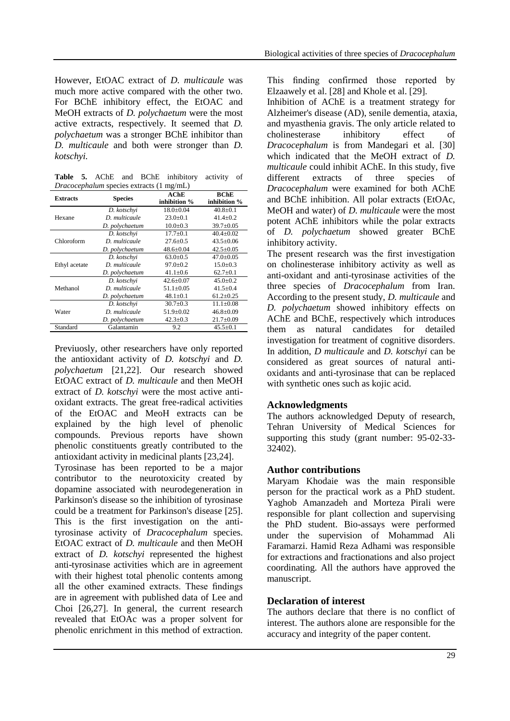However, EtOAC extract of *D. multicaule* was much more active compared with the other two. For BChE inhibitory effect, the EtOAC and MeOH extracts of *D. polychaetum* were the most active extracts, respectively. It seemed that *D. polychaetum* was a stronger BChE inhibitor than *D. multicaule* and both were stronger than *D. kotschyi.*

**Table 5.** AChE and BChE inhibitory activity of *Dracocephalum* species extracts (1 mg/mL)

| <b>Extracts</b> | <b>Species</b> | AChE            | <b>BChE</b>     |
|-----------------|----------------|-----------------|-----------------|
|                 |                | inhibition %    | inhibition %    |
|                 | D. kotschvi    | $18.0 + 0.04$   | $40.8 + 0.1$    |
| Hexane          | D. multicaule  | $23.0+0.1$      | $41.4 + 0.2$    |
|                 | D. polychaetum | $10.0 + 0.3$    | $39.7 \pm 0.05$ |
|                 | D. kotschvi    | $17.7 \pm 0.1$  | $40.4+0.02$     |
| Chloroform      | D. multicaule  | $27.6 \pm 0.5$  | $43.5 + 0.06$   |
|                 | D. polychaetum | $48.6 \pm 0.04$ | $42.5 \pm 0.05$ |
|                 | D. kotschvi    | $63.0+0.5$      | $47.0+0.05$     |
| Ethyl acetate   | D. multicaule  | $97.0 + 0.2$    | $15.0 + 0.3$    |
|                 | D. polychaetum | $41.1 \pm 0.6$  | $62.7+0.1$      |
|                 | D. kotschvi    | $42.6 + 0.07$   | $45.0 + 0.2$    |
| Methanol        | D multicaule   | $51.1 \pm 0.05$ | $41.5 \pm 0.4$  |
|                 | D. polychaetum | $48.1 \pm 0.1$  | $61.2 \pm 0.25$ |
| Water           | D. kotschvi    | $30.7 + 0.3$    | $11.1 + 0.08$   |
|                 | D. multicaule  | $51.9 \pm 0.02$ | $46.8 \pm 0.09$ |
|                 | D. polychaetum | $42.3 \pm 0.3$  | $21.7 \pm 0.09$ |
| Standard        | Galantamin     | 9.2             | $45.5 \pm 0.1$  |

Previuosly, other researchers have only reported the antioxidant activity of *D. kotschyi* and *D. polychaetum* [21,22]. Our research showed EtOAC extract of *D. multicaule* and then MeOH extract of *D. kotschyi* were the most active antioxidant extracts. The great free-radical activities of the EtOAC and MeoH extracts can be explained by the high level of phenolic compounds. Previous reports have shown phenolic constituents greatly contributed to the antioxidant activity in medicinal plants [23,24].

Tyrosinase has been reported to be a major contributor to the neurotoxicity created by dopamine associated with neurodegeneration in Parkinson's disease so the inhibition of tyrosinase could be a treatment for Parkinson's disease [25]. This is the first investigation on the antityrosinase activity of *Dracocephalum* species. EtOAC extract of *D. multicaule* and then MeOH extract of *D. kotschyi* represented the highest anti-tyrosinase activities which are in agreement with their highest total phenolic contents among all the other examined extracts. These findings are in agreement with published data of Lee and Choi [26,27]. In general, the current research revealed that EtOAc was a proper solvent for phenolic enrichment in this method of extraction. This finding confirmed those reported by Elzaawely et al. [28] and Khole et al. [29].

Inhibition of AChE is a treatment strategy for Alzheimer's disease (AD), senile dementia, ataxia, and myasthenia gravis. The only article related to cholinesterase inhibitory effect of *Dracocephalum* is from Mandegari et al. [30] which indicated that the MeOH extract of *D. multicaule* could inhibit AChE. In this study, five different extracts of three species of *Dracocephalum* were examined for both AChE and BChE inhibition. All polar extracts (EtOAc, MeOH and water) of *D. multicaule* were the most potent AChE inhibitors while the polar extracts of *D. polychaetum* showed greater BChE inhibitory activity.

The present research was the first investigation on cholinesterase inhibitory activity as well as anti-oxidant and anti-tyrosinase activities of the three species of *Dracocephalum* from Iran. According to the present study, *D. multicaule* and *D. polychaetum* showed inhibitory effects on AChE and BChE, respectively which introduces them as natural candidates for detailed investigation for treatment of cognitive disorders. In addition, *D multicaule* and *D. kotschyi* can be considered as great sources of natural antioxidants and anti-tyrosinase that can be replaced with synthetic ones such as kojic acid.

### **Acknowledgments**

The authors acknowledged Deputy of research, Tehran University of Medical Sciences for supporting this study (grant number: 95-02-33- 32402).

# **Author contributions**

Maryam Khodaie was the main responsible person for the practical work as a PhD student. Yaghob Amanzadeh and Morteza Pirali were responsible for plant collection and supervising the PhD student. Bio-assays were performed under the supervision of Mohammad Ali Faramarzi. Hamid Reza Adhami was responsible for extractions and fractionations and also project coordinating. All the authors have approved the manuscript.

# **Declaration of interest**

The authors declare that there is no conflict of interest. The authors alone are responsible for the accuracy and integrity of the paper content.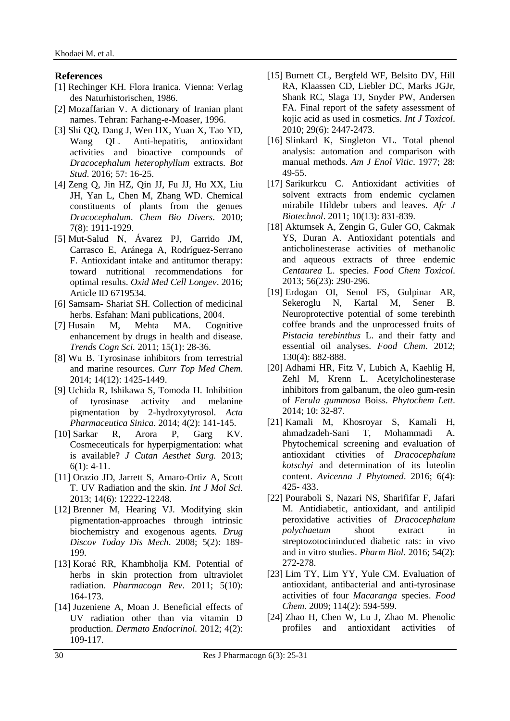#### **References**

- [1] Rechinger KH. Flora Iranica. Vienna: Verlag des Naturhistorischen, 1986.
- [2] Mozaffarian V. A dictionary of Iranian plant names. Tehran: Farhang-e-Moaser, 1996.
- [3] Shi QQ, Dang J, Wen HX, Yuan X, Tao YD, Wang QL. Anti-hepatitis, antioxidant activities and bioactive compounds of *Dracocephalum heterophyllum* extracts. *Bot Stud*. 2016; 57: 16-25.
- [4] Zeng Q, Jin HZ, Qin JJ, Fu JJ, Hu XX, Liu JH, Yan L, Chen M, Zhang WD. Chemical constituents of plants from the genues *Dracocephalum*. *Chem Bio Divers*. 2010; 7(8): 1911-1929.
- [5] Mut-Salud N, Ávarez PJ, Garrido JM, Carrasco E, Aránega A, Rodríguez-Serrano F. Antioxidant intake and antitumor therapy: toward nutritional recommendations for optimal results. *Oxid Med Cell Longev*. 2016; Article ID 6719534.
- [6] Samsam- Shariat SH. Collection of medicinal herbs*.* Esfahan: Mani publications, 2004.
- [7] Husain M, Mehta MA. Cognitive enhancement by drugs in health and disease. *Trends Cogn Sci.* 2011; 15(1): 28-36.
- [8] Wu B. Tyrosinase inhibitors from terrestrial and marine resources. *Curr Top Med Chem*. 2014; 14(12): 1425-1449.
- [9] Uchida R, Ishikawa S, Tomoda H. Inhibition of tyrosinase activity and melanine pigmentation by 2-hydroxytyrosol. *Acta Pharmaceutica Sinica*. 2014; 4(2): 141-145.
- [10] Sarkar R, Arora P, Garg KV. Cosmeceuticals for hyperpigmentation: what is available? *J Cutan Aesthet Surg.* 2013;  $6(1): 4-11.$
- [11] Orazio JD, Jarrett S, Amaro-Ortiz A, Scott T. UV Radiation and the skin. *Int J Mol Sci*. 2013; 14(6): 12222-12248.
- [12] Brenner M, Hearing VJ. Modifying skin pigmentation-approaches through intrinsic biochemistry and exogenous agents*. Drug Discov Today Dis Mech*. 2008; 5(2): 189- 199.
- [13] Korać RR, Khambholja KM. Potential of herbs in skin protection from ultraviolet radiation. *Pharmacogn Rev*. 2011; 5(10): 164-173.
- [14] Juzeniene A, Moan J. Beneficial effects of UV radiation other than via vitamin D production. *Dermato Endocrinol.* 2012; 4(2): 109-117.
- [15] Burnett CL, Bergfeld WF, Belsito DV, Hill RA, Klaassen CD, Liebler DC, Marks JGJr, Shank RC, Slaga TJ, Snyder PW, Andersen FA. Final report of the safety assessment of kojic acid as used in cosmetics. *Int J Toxicol*. 2010; 29(6): 2447-2473.
- [16] Slinkard K, Singleton VL. Total phenol analysis: automation and comparison with manual methods. *Am J Enol Vitic*. 1977; 28: 49-55.
- [17] Sarikurkcu C. Antioxidant activities of solvent extracts from endemic cyclamen mirabile Hildebr tubers and leaves. *Afr J Biotechnol*. 2011; 10(13): 831-839.
- [18] Aktumsek A, Zengin G, Guler GO, Cakmak YS, Duran A. Antioxidant potentials and anticholinesterase activities of methanolic and aqueous extracts of three endemic *Centaurea* L. species. *Food Chem Toxicol*. 2013; 56(23): 290-296.
- [19] Erdogan OI, Senol FS, Gulpinar AR, Sekeroglu N, Kartal M, Sener B. Neuroprotective potential of some terebinth coffee brands and the unprocessed fruits of *Pistacia terebinthus* L. and their fatty and essential oil analyses. *Food Chem*. 2012; 130(4): 882-888.
- [20] Adhami HR, Fitz V, Lubich A, Kaehlig H, Zehl M, Krenn L. Acetylcholinesterase inhibitors from galbanum, the oleo gum-resin of *Ferula gummosa* Boiss. *Phytochem Lett*. 2014; 10: 32-87.
- [21] Kamali M, Khosroyar S, Kamali H, ahmadzadeh-Sani T, Mohammadi A. Phytochemical screening and evaluation of antioxidant ctivities of *Dracocephalum kotschyi* and determination of its luteolin content. *Avicenna J Phytomed*. 2016; 6(4): 425- 433.
- [22] Pouraboli S, Nazari NS, Sharififar F, Jafari M. Antidiabetic, antioxidant, and antilipid peroxidative activities of *Dracocephalum polychaetum* shoot extract in streptozotocininduced diabetic rats: in vivo and in vitro studies. *Pharm Biol*. 2016; 54(2): 272-278.
- [23] Lim TY, Lim YY, Yule CM. Evaluation of antioxidant, antibacterial and anti-tyrosinase activities of four *Macaranga* species. *Food Chem*. 2009; 114(2): 594-599.
- [24] Zhao H, Chen W, Lu J, Zhao M. Phenolic profiles and antioxidant activities of